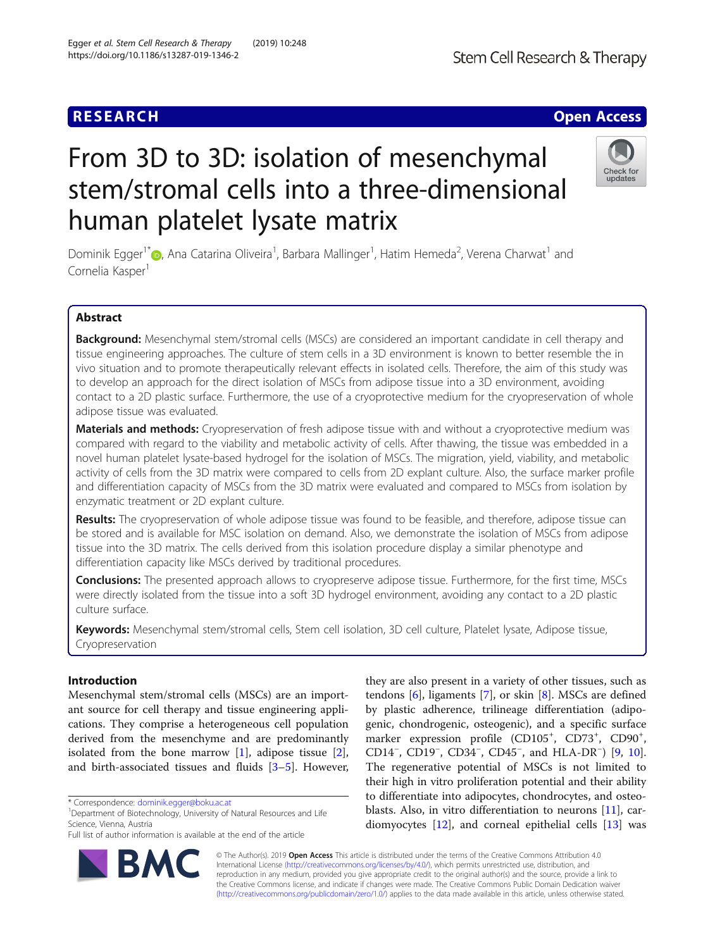## **RESEARCH CHE Open Access**

# From 3D to 3D: isolation of mesenchymal stem/stromal cells into a three-dimensional human platelet lysate matrix

Dominik Egger<sup>1\*</sup>®[,](http://orcid.org/0000-0002-9925-3344) Ana Catarina Oliveira<sup>1</sup>, Barbara Mallinger<sup>1</sup>, Hatim Hemeda<sup>2</sup>, Verena Charwat<sup>1</sup> and Cornelia Kasper<sup>1</sup>

## Abstract

Background: Mesenchymal stem/stromal cells (MSCs) are considered an important candidate in cell therapy and tissue engineering approaches. The culture of stem cells in a 3D environment is known to better resemble the in vivo situation and to promote therapeutically relevant effects in isolated cells. Therefore, the aim of this study was to develop an approach for the direct isolation of MSCs from adipose tissue into a 3D environment, avoiding contact to a 2D plastic surface. Furthermore, the use of a cryoprotective medium for the cryopreservation of whole adipose tissue was evaluated.

Materials and methods: Cryopreservation of fresh adipose tissue with and without a cryoprotective medium was compared with regard to the viability and metabolic activity of cells. After thawing, the tissue was embedded in a novel human platelet lysate-based hydrogel for the isolation of MSCs. The migration, yield, viability, and metabolic activity of cells from the 3D matrix were compared to cells from 2D explant culture. Also, the surface marker profile and differentiation capacity of MSCs from the 3D matrix were evaluated and compared to MSCs from isolation by enzymatic treatment or 2D explant culture.

Results: The cryopreservation of whole adipose tissue was found to be feasible, and therefore, adipose tissue can be stored and is available for MSC isolation on demand. Also, we demonstrate the isolation of MSCs from adipose tissue into the 3D matrix. The cells derived from this isolation procedure display a similar phenotype and differentiation capacity like MSCs derived by traditional procedures.

**Conclusions:** The presented approach allows to cryopreserve adipose tissue. Furthermore, for the first time, MSCs were directly isolated from the tissue into a soft 3D hydrogel environment, avoiding any contact to a 2D plastic culture surface.

Keywords: Mesenchymal stem/stromal cells, Stem cell isolation, 3D cell culture, Platelet lysate, Adipose tissue, Cryopreservation

## Introduction

Mesenchymal stem/stromal cells (MSCs) are an important source for cell therapy and tissue engineering applications. They comprise a heterogeneous cell population derived from the mesenchyme and are predominantly isolated from the bone marrow [\[1](#page-7-0)], adipose tissue [\[2](#page-7-0)], and birth-associated tissues and fluids [[3](#page-8-0)–[5\]](#page-8-0). However,

\* Correspondence: [dominik.egger@boku.ac.at](mailto:dominik.egger@boku.ac.at)

<sup>1</sup>Department of Biotechnology, University of Natural Resources and Life Science, Vienna, Austria

© The Author(s). 2019 **Open Access** This article is distributed under the terms of the Creative Commons Attribution 4.0 International License [\(http://creativecommons.org/licenses/by/4.0/](http://creativecommons.org/licenses/by/4.0/)), which permits unrestricted use, distribution, and reproduction in any medium, provided you give appropriate credit to the original author(s) and the source, provide a link to the Creative Commons license, and indicate if changes were made. The Creative Commons Public Domain Dedication waiver [\(http://creativecommons.org/publicdomain/zero/1.0/](http://creativecommons.org/publicdomain/zero/1.0/)) applies to the data made available in this article, unless otherwise stated.

tendons [[6\]](#page-8-0), ligaments [[7\]](#page-8-0), or skin [[8](#page-8-0)]. MSCs are defined by plastic adherence, trilineage differentiation (adipogenic, chondrogenic, osteogenic), and a specific surface marker expression profile (CD105<sup>+</sup>, CD73<sup>+</sup>, CD90<sup>+</sup>, CD14<sup>-</sup>, CD<sup>19-</sup>, CD<sup>45</sup><sup>-</sup>, CD45<sup>-</sup>, and HLA-DR<sup>-</sup>) [\[9](#page-8-0), [10](#page-8-0)]. The regenerative potential of MSCs is not limited to their high in vitro proliferation potential and their ability to differentiate into adipocytes, chondrocytes, and osteoblasts. Also, in vitro differentiation to neurons [\[11\]](#page-8-0), cardiomyocytes [\[12](#page-8-0)], and corneal epithelial cells [[13](#page-8-0)] was

they are also present in a variety of other tissues, such as







Full list of author information is available at the end of the article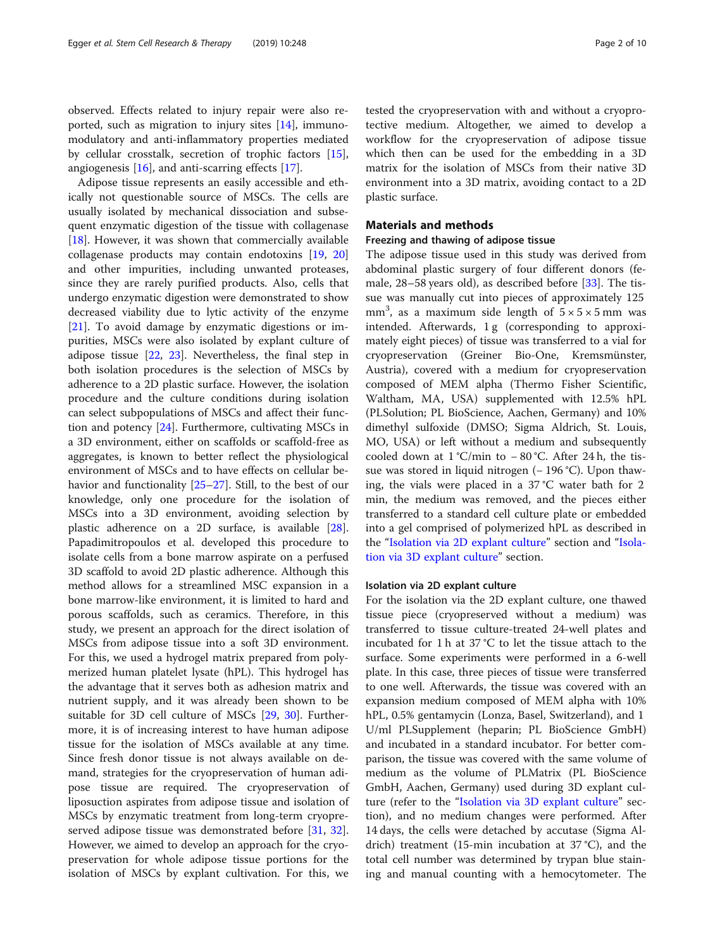observed. Effects related to injury repair were also reported, such as migration to injury sites [\[14\]](#page-8-0), immunomodulatory and anti-inflammatory properties mediated by cellular crosstalk, secretion of trophic factors [\[15](#page-8-0)], angiogenesis [\[16\]](#page-8-0), and anti-scarring effects [[17\]](#page-8-0).

Adipose tissue represents an easily accessible and ethically not questionable source of MSCs. The cells are usually isolated by mechanical dissociation and subsequent enzymatic digestion of the tissue with collagenase [[18\]](#page-8-0). However, it was shown that commercially available collagenase products may contain endotoxins [\[19](#page-8-0), [20](#page-8-0)] and other impurities, including unwanted proteases, since they are rarely purified products. Also, cells that undergo enzymatic digestion were demonstrated to show decreased viability due to lytic activity of the enzyme [[21\]](#page-8-0). To avoid damage by enzymatic digestions or impurities, MSCs were also isolated by explant culture of adipose tissue [[22](#page-8-0), [23](#page-8-0)]. Nevertheless, the final step in both isolation procedures is the selection of MSCs by adherence to a 2D plastic surface. However, the isolation procedure and the culture conditions during isolation can select subpopulations of MSCs and affect their function and potency [\[24\]](#page-8-0). Furthermore, cultivating MSCs in a 3D environment, either on scaffolds or scaffold-free as aggregates, is known to better reflect the physiological environment of MSCs and to have effects on cellular behavior and functionality [[25](#page-8-0)–[27](#page-8-0)]. Still, to the best of our knowledge, only one procedure for the isolation of MSCs into a 3D environment, avoiding selection by plastic adherence on a 2D surface, is available [\[28](#page-8-0)]. Papadimitropoulos et al. developed this procedure to isolate cells from a bone marrow aspirate on a perfused 3D scaffold to avoid 2D plastic adherence. Although this method allows for a streamlined MSC expansion in a bone marrow-like environment, it is limited to hard and porous scaffolds, such as ceramics. Therefore, in this study, we present an approach for the direct isolation of MSCs from adipose tissue into a soft 3D environment. For this, we used a hydrogel matrix prepared from polymerized human platelet lysate (hPL). This hydrogel has the advantage that it serves both as adhesion matrix and nutrient supply, and it was already been shown to be suitable for 3D cell culture of MSCs [[29,](#page-8-0) [30\]](#page-8-0). Furthermore, it is of increasing interest to have human adipose tissue for the isolation of MSCs available at any time. Since fresh donor tissue is not always available on demand, strategies for the cryopreservation of human adipose tissue are required. The cryopreservation of liposuction aspirates from adipose tissue and isolation of MSCs by enzymatic treatment from long-term cryopre-served adipose tissue was demonstrated before [[31](#page-8-0), [32](#page-8-0)]. However, we aimed to develop an approach for the cryopreservation for whole adipose tissue portions for the isolation of MSCs by explant cultivation. For this, we tested the cryopreservation with and without a cryoprotective medium. Altogether, we aimed to develop a workflow for the cryopreservation of adipose tissue which then can be used for the embedding in a 3D matrix for the isolation of MSCs from their native 3D environment into a 3D matrix, avoiding contact to a 2D plastic surface.

## Materials and methods

## Freezing and thawing of adipose tissue

The adipose tissue used in this study was derived from abdominal plastic surgery of four different donors (female, 28–58 years old), as described before [[33\]](#page-8-0). The tissue was manually cut into pieces of approximately 125 mm<sup>3</sup>, as a maximum side length of  $5 \times 5 \times 5$  mm was intended. Afterwards, 1 g (corresponding to approximately eight pieces) of tissue was transferred to a vial for cryopreservation (Greiner Bio-One, Kremsmünster, Austria), covered with a medium for cryopreservation composed of MEM alpha (Thermo Fisher Scientific, Waltham, MA, USA) supplemented with 12.5% hPL (PLSolution; PL BioScience, Aachen, Germany) and 10% dimethyl sulfoxide (DMSO; Sigma Aldrich, St. Louis, MO, USA) or left without a medium and subsequently cooled down at 1 °C/min to − 80 °C. After 24 h, the tissue was stored in liquid nitrogen (− 196 °C). Upon thawing, the vials were placed in a 37 °C water bath for 2 min, the medium was removed, and the pieces either transferred to a standard cell culture plate or embedded into a gel comprised of polymerized hPL as described in the "Isolation via 2D explant culture" section and "[Isola](#page-2-0)[tion via 3D explant culture](#page-2-0)" section.

#### Isolation via 2D explant culture

For the isolation via the 2D explant culture, one thawed tissue piece (cryopreserved without a medium) was transferred to tissue culture-treated 24-well plates and incubated for 1 h at 37 °C to let the tissue attach to the surface. Some experiments were performed in a 6-well plate. In this case, three pieces of tissue were transferred to one well. Afterwards, the tissue was covered with an expansion medium composed of MEM alpha with 10% hPL, 0.5% gentamycin (Lonza, Basel, Switzerland), and 1 U/ml PLSupplement (heparin; PL BioScience GmbH) and incubated in a standard incubator. For better comparison, the tissue was covered with the same volume of medium as the volume of PLMatrix (PL BioScience GmbH, Aachen, Germany) used during 3D explant culture (refer to the "[Isolation via 3D explant culture](#page-2-0)" section), and no medium changes were performed. After 14 days, the cells were detached by accutase (Sigma Aldrich) treatment (15-min incubation at 37 °C), and the total cell number was determined by trypan blue staining and manual counting with a hemocytometer. The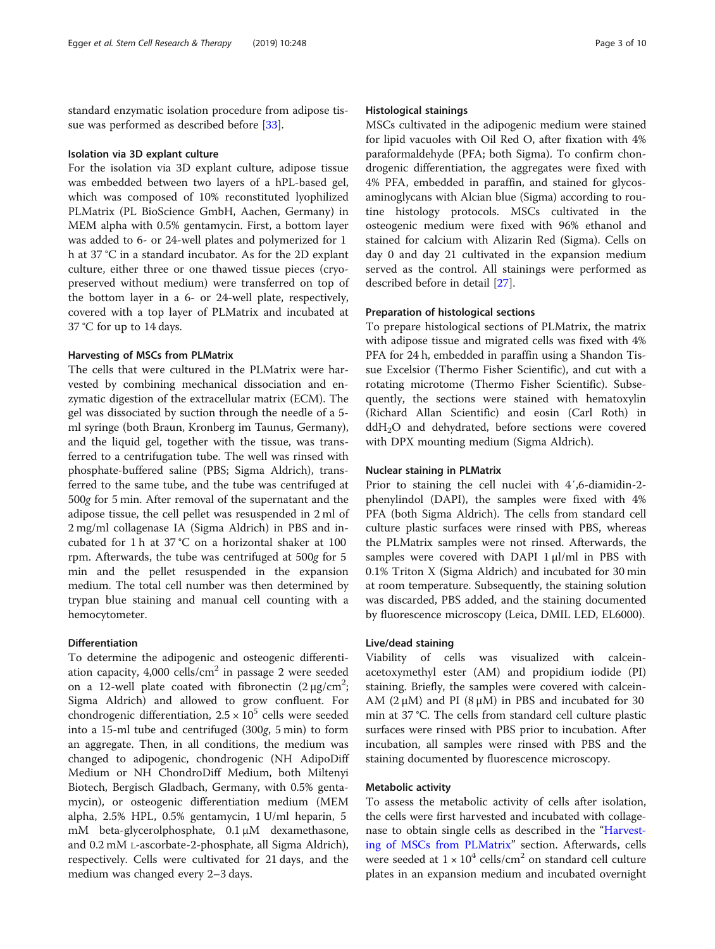<span id="page-2-0"></span>standard enzymatic isolation procedure from adipose tis-sue was performed as described before [\[33](#page-8-0)].

#### Isolation via 3D explant culture

For the isolation via 3D explant culture, adipose tissue was embedded between two layers of a hPL-based gel, which was composed of 10% reconstituted lyophilized PLMatrix (PL BioScience GmbH, Aachen, Germany) in MEM alpha with 0.5% gentamycin. First, a bottom layer was added to 6- or 24-well plates and polymerized for 1 h at 37 °C in a standard incubator. As for the 2D explant culture, either three or one thawed tissue pieces (cryopreserved without medium) were transferred on top of the bottom layer in a 6- or 24-well plate, respectively, covered with a top layer of PLMatrix and incubated at 37 °C for up to 14 days.

### Harvesting of MSCs from PLMatrix

The cells that were cultured in the PLMatrix were harvested by combining mechanical dissociation and enzymatic digestion of the extracellular matrix (ECM). The gel was dissociated by suction through the needle of a 5 ml syringe (both Braun, Kronberg im Taunus, Germany), and the liquid gel, together with the tissue, was transferred to a centrifugation tube. The well was rinsed with phosphate-buffered saline (PBS; Sigma Aldrich), transferred to the same tube, and the tube was centrifuged at 500g for 5 min. After removal of the supernatant and the adipose tissue, the cell pellet was resuspended in 2 ml of 2 mg/ml collagenase IA (Sigma Aldrich) in PBS and incubated for 1 h at 37 °C on a horizontal shaker at 100 rpm. Afterwards, the tube was centrifuged at 500g for 5 min and the pellet resuspended in the expansion medium. The total cell number was then determined by trypan blue staining and manual cell counting with a hemocytometer.

## Differentiation

To determine the adipogenic and osteogenic differentiation capacity,  $4,000$  cells/cm<sup>2</sup> in passage 2 were seeded on a 12-well plate coated with fibronectin  $(2 \mu g/cm^2)$ ; Sigma Aldrich) and allowed to grow confluent. For chondrogenic differentiation,  $2.5 \times 10^5$  cells were seeded into a 15-ml tube and centrifuged (300g, 5 min) to form an aggregate. Then, in all conditions, the medium was changed to adipogenic, chondrogenic (NH AdipoDiff Medium or NH ChondroDiff Medium, both Miltenyi Biotech, Bergisch Gladbach, Germany, with 0.5% gentamycin), or osteogenic differentiation medium (MEM alpha, 2.5% HPL, 0.5% gentamycin, 1 U/ml heparin, 5 mM beta-glycerolphosphate, 0.1 μM dexamethasone, and 0.2 mM L-ascorbate-2-phosphate, all Sigma Aldrich), respectively. Cells were cultivated for 21 days, and the medium was changed every 2–3 days.

### Histological stainings

MSCs cultivated in the adipogenic medium were stained for lipid vacuoles with Oil Red O, after fixation with 4% paraformaldehyde (PFA; both Sigma). To confirm chondrogenic differentiation, the aggregates were fixed with 4% PFA, embedded in paraffin, and stained for glycosaminoglycans with Alcian blue (Sigma) according to routine histology protocols. MSCs cultivated in the osteogenic medium were fixed with 96% ethanol and stained for calcium with Alizarin Red (Sigma). Cells on day 0 and day 21 cultivated in the expansion medium served as the control. All stainings were performed as described before in detail [\[27](#page-8-0)].

#### Preparation of histological sections

To prepare histological sections of PLMatrix, the matrix with adipose tissue and migrated cells was fixed with 4% PFA for 24 h, embedded in paraffin using a Shandon Tissue Excelsior (Thermo Fisher Scientific), and cut with a rotating microtome (Thermo Fisher Scientific). Subsequently, the sections were stained with hematoxylin (Richard Allan Scientific) and eosin (Carl Roth) in  $ddH<sub>2</sub>O$  and dehydrated, before sections were covered with DPX mounting medium (Sigma Aldrich).

#### Nuclear staining in PLMatrix

Prior to staining the cell nuclei with 4′,6-diamidin-2 phenylindol (DAPI), the samples were fixed with 4% PFA (both Sigma Aldrich). The cells from standard cell culture plastic surfaces were rinsed with PBS, whereas the PLMatrix samples were not rinsed. Afterwards, the samples were covered with DAPI 1 μl/ml in PBS with 0.1% Triton X (Sigma Aldrich) and incubated for 30 min at room temperature. Subsequently, the staining solution was discarded, PBS added, and the staining documented by fluorescence microscopy (Leica, DMIL LED, EL6000).

### Live/dead staining

Viability of cells was visualized with calceinacetoxymethyl ester (AM) and propidium iodide (PI) staining. Briefly, the samples were covered with calcein-AM  $(2 \mu M)$  and PI  $(8 \mu M)$  in PBS and incubated for 30 min at 37 °C. The cells from standard cell culture plastic surfaces were rinsed with PBS prior to incubation. After incubation, all samples were rinsed with PBS and the staining documented by fluorescence microscopy.

#### Metabolic activity

To assess the metabolic activity of cells after isolation, the cells were first harvested and incubated with collagenase to obtain single cells as described in the "Harvesting of MSCs from PLMatrix" section. Afterwards, cells were seeded at  $1 \times 10^4$  cells/cm<sup>2</sup> on standard cell culture plates in an expansion medium and incubated overnight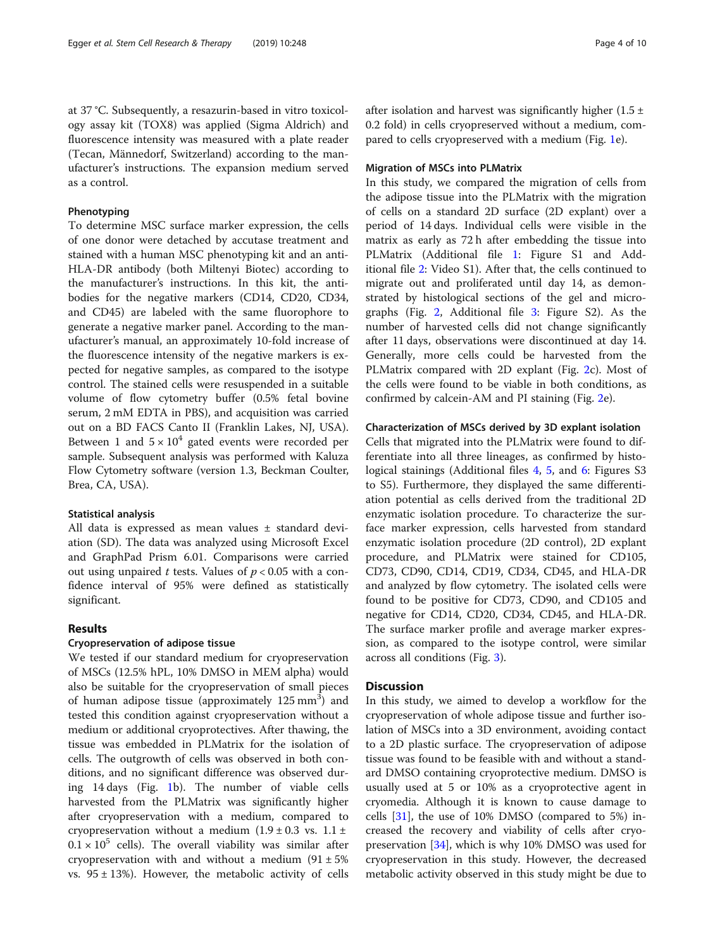Egger et al. Stem Cell Research & Therapy (2019) 10:248 Page 4 of 10

at 37 °C. Subsequently, a resazurin-based in vitro toxicology assay kit (TOX8) was applied (Sigma Aldrich) and fluorescence intensity was measured with a plate reader (Tecan, Männedorf, Switzerland) according to the manufacturer's instructions. The expansion medium served as a control.

## Phenotyping

To determine MSC surface marker expression, the cells of one donor were detached by accutase treatment and stained with a human MSC phenotyping kit and an anti-HLA-DR antibody (both Miltenyi Biotec) according to the manufacturer's instructions. In this kit, the antibodies for the negative markers (CD14, CD20, CD34, and CD45) are labeled with the same fluorophore to generate a negative marker panel. According to the manufacturer's manual, an approximately 10-fold increase of the fluorescence intensity of the negative markers is expected for negative samples, as compared to the isotype control. The stained cells were resuspended in a suitable volume of flow cytometry buffer (0.5% fetal bovine serum, 2 mM EDTA in PBS), and acquisition was carried out on a BD FACS Canto II (Franklin Lakes, NJ, USA). Between 1 and  $5 \times 10^4$  gated events were recorded per sample. Subsequent analysis was performed with Kaluza Flow Cytometry software (version 1.3, Beckman Coulter, Brea, CA, USA).

## Statistical analysis

All data is expressed as mean values ± standard deviation (SD). The data was analyzed using Microsoft Excel and GraphPad Prism 6.01. Comparisons were carried out using unpaired t tests. Values of  $p < 0.05$  with a confidence interval of 95% were defined as statistically significant.

## Results

## Cryopreservation of adipose tissue

We tested if our standard medium for cryopreservation of MSCs (12.5% hPL, 10% DMSO in MEM alpha) would also be suitable for the cryopreservation of small pieces of human adipose tissue (approximately 125 mm<sup>3</sup>) and tested this condition against cryopreservation without a medium or additional cryoprotectives. After thawing, the tissue was embedded in PLMatrix for the isolation of cells. The outgrowth of cells was observed in both conditions, and no significant difference was observed during 14 days (Fig. [1](#page-4-0)b). The number of viable cells harvested from the PLMatrix was significantly higher after cryopreservation with a medium, compared to cryopreservation without a medium  $(1.9 \pm 0.3 \text{ vs. } 1.1 \pm 1.1)$  $0.1 \times 10^5$  cells). The overall viability was similar after cryopreservation with and without a medium  $(91 \pm 5\%)$ vs.  $95 \pm 13\%$ ). However, the metabolic activity of cells after isolation and harvest was significantly higher  $(1.5 \pm 1)$ 0.2 fold) in cells cryopreserved without a medium, compared to cells cryopreserved with a medium (Fig. [1](#page-4-0)e).

## Migration of MSCs into PLMatrix

In this study, we compared the migration of cells from the adipose tissue into the PLMatrix with the migration of cells on a standard 2D surface (2D explant) over a period of 14 days. Individual cells were visible in the matrix as early as 72 h after embedding the tissue into PLMatrix (Additional file [1:](#page-7-0) Figure S1 and Additional file [2:](#page-7-0) Video S1). After that, the cells continued to migrate out and proliferated until day 14, as demonstrated by histological sections of the gel and micrographs (Fig. [2,](#page-5-0) Additional file [3](#page-7-0): Figure S2). As the number of harvested cells did not change significantly after 11 days, observations were discontinued at day 14. Generally, more cells could be harvested from the PLMatrix compared with 2D explant (Fig. [2c](#page-5-0)). Most of the cells were found to be viable in both conditions, as confirmed by calcein-AM and PI staining (Fig. [2](#page-5-0)e).

## Characterization of MSCs derived by 3D explant isolation

Cells that migrated into the PLMatrix were found to differentiate into all three lineages, as confirmed by histo-logical stainings (Additional files [4](#page-7-0), [5,](#page-7-0) and [6](#page-7-0): Figures S3 to S5). Furthermore, they displayed the same differentiation potential as cells derived from the traditional 2D enzymatic isolation procedure. To characterize the surface marker expression, cells harvested from standard enzymatic isolation procedure (2D control), 2D explant procedure, and PLMatrix were stained for CD105, CD73, CD90, CD14, CD19, CD34, CD45, and HLA-DR and analyzed by flow cytometry. The isolated cells were found to be positive for CD73, CD90, and CD105 and negative for CD14, CD20, CD34, CD45, and HLA-DR. The surface marker profile and average marker expression, as compared to the isotype control, were similar across all conditions (Fig. [3\)](#page-6-0).

## **Discussion**

In this study, we aimed to develop a workflow for the cryopreservation of whole adipose tissue and further isolation of MSCs into a 3D environment, avoiding contact to a 2D plastic surface. The cryopreservation of adipose tissue was found to be feasible with and without a standard DMSO containing cryoprotective medium. DMSO is usually used at 5 or 10% as a cryoprotective agent in cryomedia. Although it is known to cause damage to cells [[31](#page-8-0)], the use of 10% DMSO (compared to 5%) increased the recovery and viability of cells after cryopreservation [\[34](#page-8-0)], which is why 10% DMSO was used for cryopreservation in this study. However, the decreased metabolic activity observed in this study might be due to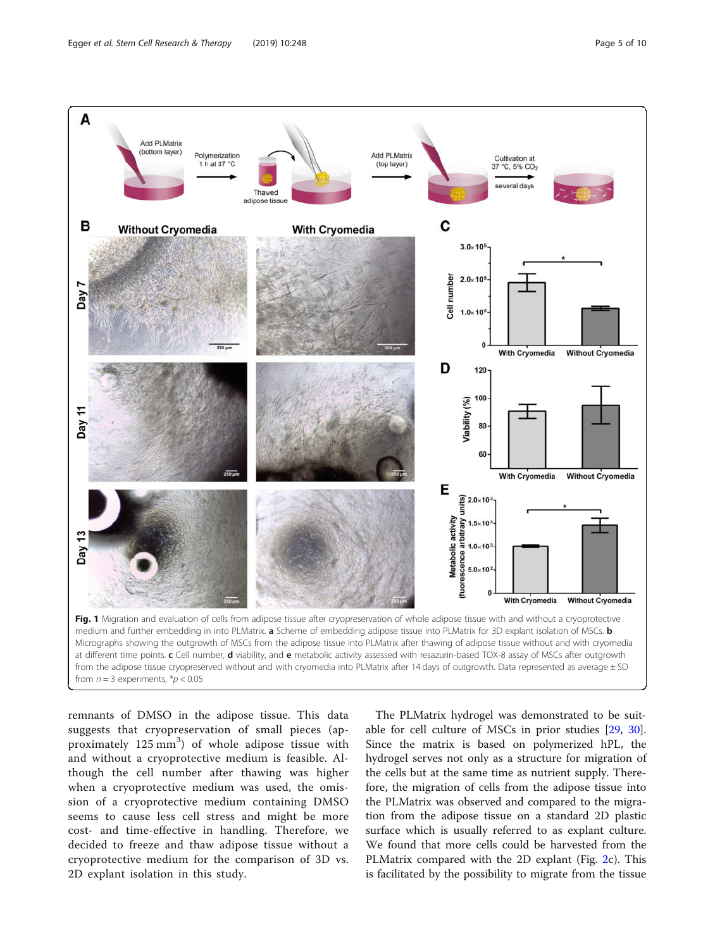<span id="page-4-0"></span>

at different time points. c Cell number, d viability, and e metabolic activity assessed with resazurin-based TOX-8 assay of MSCs after outgrowth from the adipose tissue cryopreserved without and with cryomedia into PLMatrix after 14 days of outgrowth. Data represented as average ± SD from  $n = 3$  experiments,  $p < 0.05$ 

remnants of DMSO in the adipose tissue. This data suggests that cryopreservation of small pieces (approximately 125 mm<sup>3</sup>) of whole adipose tissue with and without a cryoprotective medium is feasible. Although the cell number after thawing was higher when a cryoprotective medium was used, the omission of a cryoprotective medium containing DMSO seems to cause less cell stress and might be more cost- and time-effective in handling. Therefore, we decided to freeze and thaw adipose tissue without a cryoprotective medium for the comparison of 3D vs. 2D explant isolation in this study.

The PLMatrix hydrogel was demonstrated to be suitable for cell culture of MSCs in prior studies [\[29,](#page-8-0) [30](#page-8-0)]. Since the matrix is based on polymerized hPL, the hydrogel serves not only as a structure for migration of the cells but at the same time as nutrient supply. Therefore, the migration of cells from the adipose tissue into the PLMatrix was observed and compared to the migration from the adipose tissue on a standard 2D plastic surface which is usually referred to as explant culture. We found that more cells could be harvested from the PLMatrix compared with the 2D explant (Fig. [2c](#page-5-0)). This is facilitated by the possibility to migrate from the tissue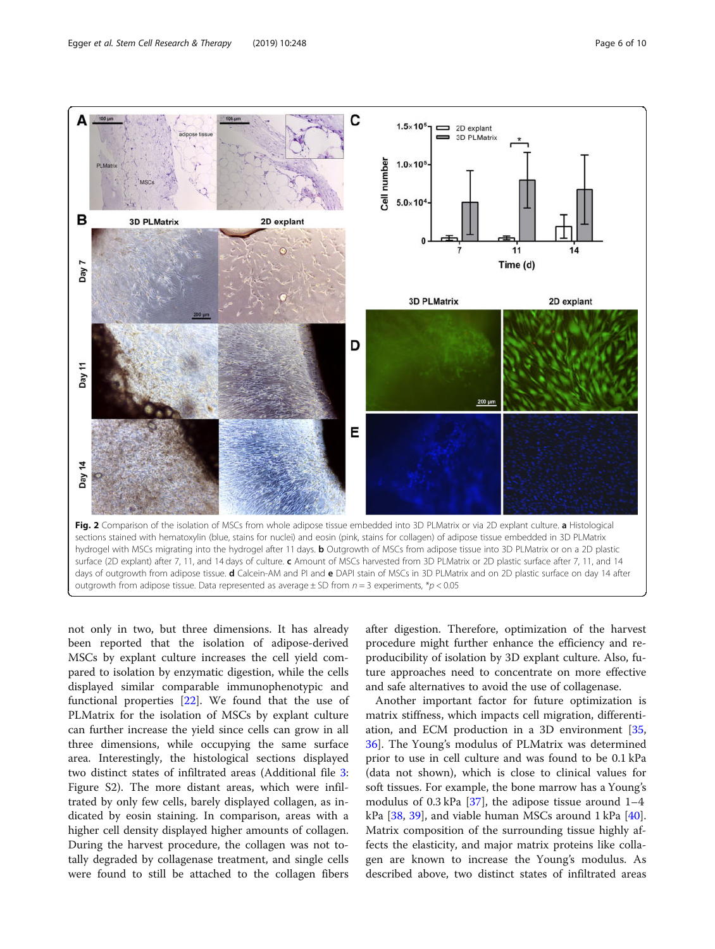<span id="page-5-0"></span>

not only in two, but three dimensions. It has already been reported that the isolation of adipose-derived MSCs by explant culture increases the cell yield compared to isolation by enzymatic digestion, while the cells displayed similar comparable immunophenotypic and functional properties [\[22](#page-8-0)]. We found that the use of PLMatrix for the isolation of MSCs by explant culture can further increase the yield since cells can grow in all three dimensions, while occupying the same surface area. Interestingly, the histological sections displayed two distinct states of infiltrated areas (Additional file [3](#page-7-0): Figure S2). The more distant areas, which were infiltrated by only few cells, barely displayed collagen, as indicated by eosin staining. In comparison, areas with a higher cell density displayed higher amounts of collagen. During the harvest procedure, the collagen was not totally degraded by collagenase treatment, and single cells were found to still be attached to the collagen fibers after digestion. Therefore, optimization of the harvest procedure might further enhance the efficiency and reproducibility of isolation by 3D explant culture. Also, future approaches need to concentrate on more effective and safe alternatives to avoid the use of collagenase.

Another important factor for future optimization is matrix stiffness, which impacts cell migration, differentiation, and ECM production in a 3D environment [[35](#page-8-0), [36\]](#page-8-0). The Young's modulus of PLMatrix was determined prior to use in cell culture and was found to be 0.1 kPa (data not shown), which is close to clinical values for soft tissues. For example, the bone marrow has a Young's modulus of 0.3 kPa  $[37]$  $[37]$ , the adipose tissue around  $1-4$ kPa  $[38, 39]$  $[38, 39]$  $[38, 39]$  $[38, 39]$ , and viable human MSCs around 1 kPa  $[40]$  $[40]$ . Matrix composition of the surrounding tissue highly affects the elasticity, and major matrix proteins like collagen are known to increase the Young's modulus. As described above, two distinct states of infiltrated areas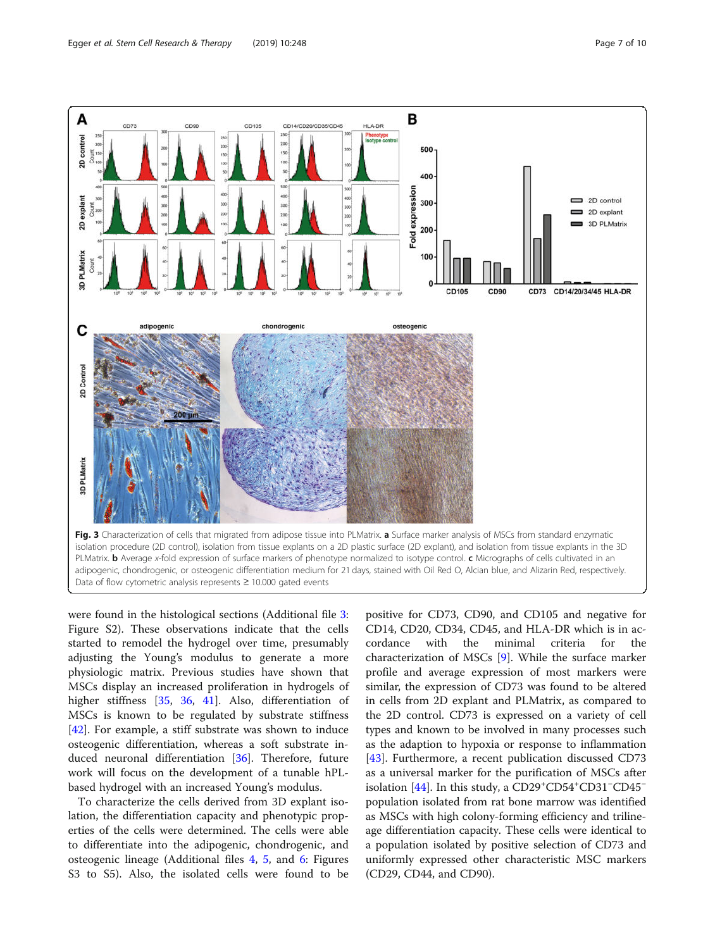<span id="page-6-0"></span>

were found in the histological sections (Additional file [3](#page-7-0): Figure S2). These observations indicate that the cells started to remodel the hydrogel over time, presumably adjusting the Young's modulus to generate a more physiologic matrix. Previous studies have shown that MSCs display an increased proliferation in hydrogels of higher stiffness [[35,](#page-8-0) [36](#page-8-0), [41\]](#page-9-0). Also, differentiation of MSCs is known to be regulated by substrate stiffness [[42\]](#page-9-0). For example, a stiff substrate was shown to induce osteogenic differentiation, whereas a soft substrate induced neuronal differentiation [\[36](#page-8-0)]. Therefore, future work will focus on the development of a tunable hPLbased hydrogel with an increased Young's modulus.

To characterize the cells derived from 3D explant isolation, the differentiation capacity and phenotypic properties of the cells were determined. The cells were able to differentiate into the adipogenic, chondrogenic, and osteogenic lineage (Additional files [4,](#page-7-0) [5,](#page-7-0) and [6:](#page-7-0) Figures S3 to S5). Also, the isolated cells were found to be

positive for CD73, CD90, and CD105 and negative for CD14, CD20, CD34, CD45, and HLA-DR which is in accordance with the minimal criteria for the characterization of MSCs [\[9](#page-8-0)]. While the surface marker profile and average expression of most markers were similar, the expression of CD73 was found to be altered in cells from 2D explant and PLMatrix, as compared to the 2D control. CD73 is expressed on a variety of cell types and known to be involved in many processes such as the adaption to hypoxia or response to inflammation [[43\]](#page-9-0). Furthermore, a recent publication discussed CD73 as a universal marker for the purification of MSCs after isolation [\[44](#page-9-0)]. In this study, a CD29+CD54+CD31−CD45<sup>−</sup> population isolated from rat bone marrow was identified as MSCs with high colony-forming efficiency and trilineage differentiation capacity. These cells were identical to a population isolated by positive selection of CD73 and uniformly expressed other characteristic MSC markers (CD29, CD44, and CD90).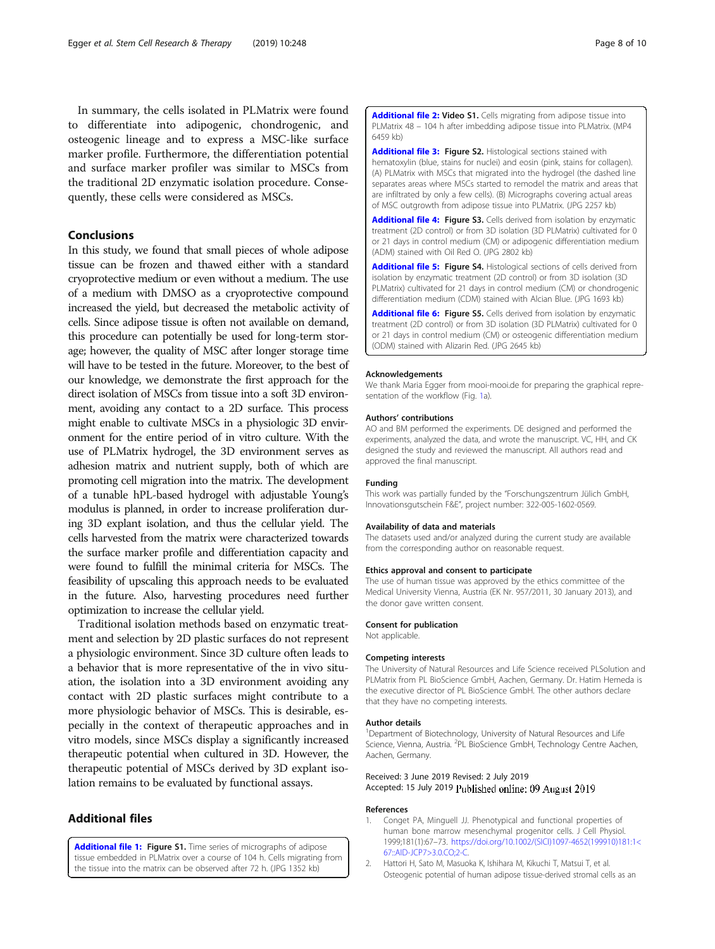<span id="page-7-0"></span>In summary, the cells isolated in PLMatrix were found to differentiate into adipogenic, chondrogenic, and osteogenic lineage and to express a MSC-like surface marker profile. Furthermore, the differentiation potential and surface marker profiler was similar to MSCs from the traditional 2D enzymatic isolation procedure. Consequently, these cells were considered as MSCs.

## Conclusions

In this study, we found that small pieces of whole adipose tissue can be frozen and thawed either with a standard cryoprotective medium or even without a medium. The use of a medium with DMSO as a cryoprotective compound increased the yield, but decreased the metabolic activity of cells. Since adipose tissue is often not available on demand, this procedure can potentially be used for long-term storage; however, the quality of MSC after longer storage time will have to be tested in the future. Moreover, to the best of our knowledge, we demonstrate the first approach for the direct isolation of MSCs from tissue into a soft 3D environment, avoiding any contact to a 2D surface. This process might enable to cultivate MSCs in a physiologic 3D environment for the entire period of in vitro culture. With the use of PLMatrix hydrogel, the 3D environment serves as adhesion matrix and nutrient supply, both of which are promoting cell migration into the matrix. The development of a tunable hPL-based hydrogel with adjustable Young's modulus is planned, in order to increase proliferation during 3D explant isolation, and thus the cellular yield. The cells harvested from the matrix were characterized towards the surface marker profile and differentiation capacity and were found to fulfill the minimal criteria for MSCs. The feasibility of upscaling this approach needs to be evaluated in the future. Also, harvesting procedures need further optimization to increase the cellular yield.

Traditional isolation methods based on enzymatic treatment and selection by 2D plastic surfaces do not represent a physiologic environment. Since 3D culture often leads to a behavior that is more representative of the in vivo situation, the isolation into a 3D environment avoiding any contact with 2D plastic surfaces might contribute to a more physiologic behavior of MSCs. This is desirable, especially in the context of therapeutic approaches and in vitro models, since MSCs display a significantly increased therapeutic potential when cultured in 3D. However, the therapeutic potential of MSCs derived by 3D explant isolation remains to be evaluated by functional assays.

## Additional files

[Additional file 1:](https://doi.org/10.1186/s13287-019-1346-2) Figure S1. Time series of micrographs of adipose tissue embedded in PLMatrix over a course of 104 h. Cells migrating from the tissue into the matrix can be observed after 72 h. (JPG 1352 kb)

[Additional file 2:](https://doi.org/10.1186/s13287-019-1346-2) Video S1. Cells migrating from adipose tissue into PLMatrix 48 – 104 h after imbedding adipose tissue into PLMatrix. (MP4 6459 kb)

[Additional file 3:](https://doi.org/10.1186/s13287-019-1346-2) Figure S2. Histological sections stained with hematoxylin (blue, stains for nuclei) and eosin (pink, stains for collagen). (A) PLMatrix with MSCs that migrated into the hydrogel (the dashed line separates areas where MSCs started to remodel the matrix and areas that are infiltrated by only a few cells). (B) Micrographs covering actual areas of MSC outgrowth from adipose tissue into PLMatrix. (JPG 2257 kb)

[Additional file 4:](https://doi.org/10.1186/s13287-019-1346-2) Figure S3. Cells derived from isolation by enzymatic treatment (2D control) or from 3D isolation (3D PLMatrix) cultivated for 0 or 21 days in control medium (CM) or adipogenic differentiation medium (ADM) stained with Oil Red O. (JPG 2802 kb)

[Additional file 5:](https://doi.org/10.1186/s13287-019-1346-2) Figure S4. Histological sections of cells derived from isolation by enzymatic treatment (2D control) or from 3D isolation (3D PLMatrix) cultivated for 21 days in control medium (CM) or chondrogenic differentiation medium (CDM) stained with Alcian Blue. (JPG 1693 kb)

[Additional file 6:](https://doi.org/10.1186/s13287-019-1346-2) Figure S5. Cells derived from isolation by enzymatic treatment (2D control) or from 3D isolation (3D PLMatrix) cultivated for 0 or 21 days in control medium (CM) or osteogenic differentiation medium (ODM) stained with Alizarin Red. (JPG 2645 kb)

#### Acknowledgements

We thank Maria Egger from mooi-mooi.de for preparing the graphical repre-sentation of the workflow (Fig. [1](#page-4-0)a).

#### Authors' contributions

AO and BM performed the experiments. DE designed and performed the experiments, analyzed the data, and wrote the manuscript. VC, HH, and CK designed the study and reviewed the manuscript. All authors read and approved the final manuscript.

#### Funding

This work was partially funded by the "Forschungszentrum Jülich GmbH, Innovationsgutschein F&E", project number: 322-005-1602-0569.

#### Availability of data and materials

The datasets used and/or analyzed during the current study are available from the corresponding author on reasonable request.

#### Ethics approval and consent to participate

The use of human tissue was approved by the ethics committee of the Medical University Vienna, Austria (EK Nr. 957/2011, 30 January 2013), and the donor gave written consent.

#### Consent for publication

Not applicable.

#### Competing interests

The University of Natural Resources and Life Science received PLSolution and PLMatrix from PL BioScience GmbH, Aachen, Germany. Dr. Hatim Hemeda is the executive director of PL BioScience GmbH. The other authors declare that they have no competing interests.

#### Author details

<sup>1</sup>Department of Biotechnology, University of Natural Resources and Life Science, Vienna, Austria. <sup>2</sup>PL BioScience GmbH, Technology Centre Aachen Aachen, Germany.

Received: 3 June 2019 Revised: 2 July 2019 Accepted: 15 July 2019 Published online: 09 August 2019

#### References

- 1. Conget PA, Minguell JJ. Phenotypical and functional properties of human bone marrow mesenchymal progenitor cells. J Cell Physiol. 1999;181(1):67–73. [https://doi.org/10.1002/\(SICI\)1097-4652\(199910\)181:1<](https://doi.org/10.1002/(SICI)1097-4652(199910)181:1<67::AID-JCP7>3.0.CO;2-C) [67::AID-JCP7>3.0.CO;2-C.](https://doi.org/10.1002/(SICI)1097-4652(199910)181:1<67::AID-JCP7>3.0.CO;2-C)
- 2. Hattori H, Sato M, Masuoka K, Ishihara M, Kikuchi T, Matsui T, et al. Osteogenic potential of human adipose tissue-derived stromal cells as an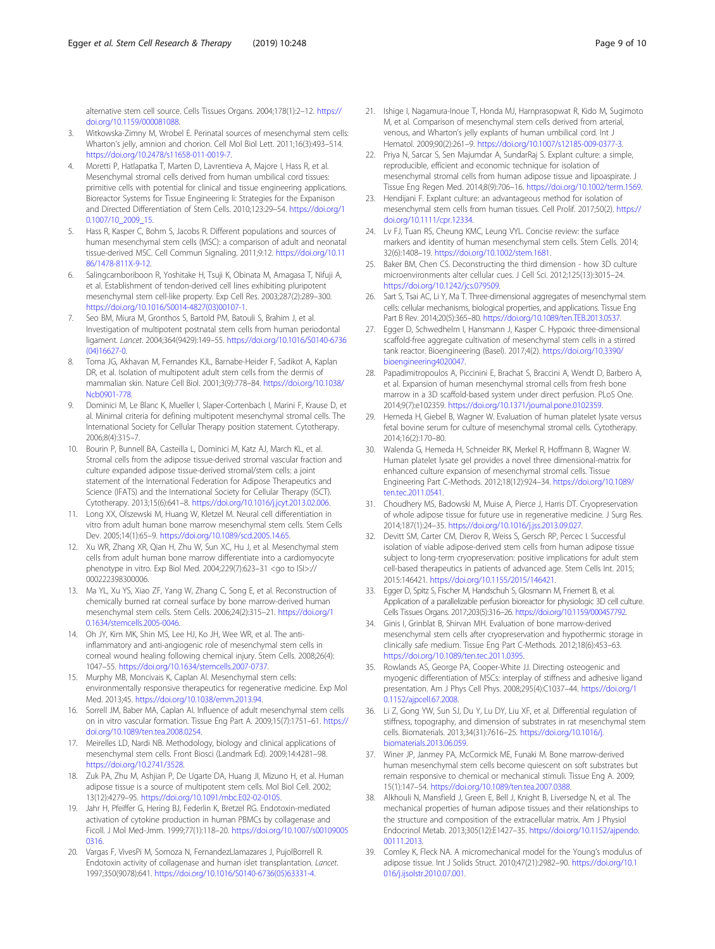<span id="page-8-0"></span>alternative stem cell source. Cells Tissues Organs. 2004;178(1):2–12. [https://](https://doi.org/10.1159/000081088) [doi.org/10.1159/000081088.](https://doi.org/10.1159/000081088)

- 3. Witkowska-Zimny M, Wrobel E. Perinatal sources of mesenchymal stem cells: Wharton's jelly, amnion and chorion. Cell Mol Biol Lett. 2011;16(3):493–514. <https://doi.org/10.2478/s11658-011-0019-7>.
- 4. Moretti P, Hatlapatka T, Marten D, Lavrentieva A, Majore I, Hass R, et al. Mesenchymal stromal cells derived from human umbilical cord tissues: primitive cells with potential for clinical and tissue engineering applications. Bioreactor Systems for Tissue Engineering Ii: Strategies for the Expanison and Directed Differentiation of Stem Cells. 2010;123:29–54. [https://doi.org/1](https://doi.org/10.1007/10_2009_15) [0.1007/10\\_2009\\_15.](https://doi.org/10.1007/10_2009_15)
- 5. Hass R, Kasper C, Bohm S, Jacobs R. Different populations and sources of human mesenchymal stem cells (MSC): a comparison of adult and neonatal tissue-derived MSC. Cell Commun Signaling. 2011;9:12. [https://doi.org/10.11](https://doi.org/10.1186/1478-811X-9-12) [86/1478-811X-9-12](https://doi.org/10.1186/1478-811X-9-12).
- 6. Salingcarnboriboon R, Yoshitake H, Tsuji K, Obinata M, Amagasa T, Nifuji A, et al. Establishment of tendon-derived cell lines exhibiting pluripotent mesenchymal stem cell-like property. Exp Cell Res. 2003;287(2):289–300. [https://doi.org/10.1016/S0014-4827\(03\)00107-1.](https://doi.org/10.1016/S0014-4827(03)00107-1)
- 7. Seo BM, Miura M, Gronthos S, Bartold PM, Batouli S, Brahim J, et al. Investigation of multipotent postnatal stem cells from human periodontal ligament. Lancet. 2004;364(9429):149–55. [https://doi.org/10.1016/S0140-6736](https://doi.org/10.1016/S0140-6736(04)16627-0) [\(04\)16627-0.](https://doi.org/10.1016/S0140-6736(04)16627-0)
- Toma JG, Akhavan M, Fernandes KJL, Barnabe-Heider F, Sadikot A, Kaplan DR, et al. Isolation of multipotent adult stem cells from the dermis of mammalian skin. Nature Cell Biol. 2001;3(9):778–84. [https://doi.org/10.1038/](https://doi.org/10.1038/Ncb0901-778) [Ncb0901-778](https://doi.org/10.1038/Ncb0901-778).
- 9. Dominici M, Le Blanc K, Mueller I, Slaper-Cortenbach I, Marini F, Krause D, et al. Minimal criteria for defining multipotent mesenchymal stromal cells. The International Society for Cellular Therapy position statement. Cytotherapy. 2006;8(4):315–7.
- 10. Bourin P, Bunnell BA, Casteilla L, Dominici M, Katz AJ, March KL, et al. Stromal cells from the adipose tissue-derived stromal vascular fraction and culture expanded adipose tissue-derived stromal/stem cells: a joint statement of the International Federation for Adipose Therapeutics and Science (IFATS) and the International Society for Cellular Therapy (ISCT). Cytotherapy. 2013;15(6):641–8. <https://doi.org/10.1016/j.jcyt.2013.02.006>.
- 11. Long XX, Olszewski M, Huang W, Kletzel M. Neural cell differentiation in vitro from adult human bone marrow mesenchymal stem cells. Stem Cells Dev. 2005;14(1):65–9. [https://doi.org/10.1089/scd.2005.14.65.](https://doi.org/10.1089/scd.2005.14.65)
- 12. Xu WR, Zhang XR, Qian H, Zhu W, Sun XC, Hu J, et al. Mesenchymal stem cells from adult human bone marrow differentiate into a cardiomyocyte phenotype in vitro. Exp Biol Med. 2004;229(7):623–31 <go to ISI>:// 000222398300006.
- 13. Ma YL, Xu YS, Xiao ZF, Yang W, Zhang C, Song E, et al. Reconstruction of chemically burned rat corneal surface by bone marrow-derived human mesenchymal stem cells. Stem Cells. 2006;24(2):315–21. [https://doi.org/1](https://doi.org/10.1634/stemcells.2005-0046) [0.1634/stemcells.2005-0046.](https://doi.org/10.1634/stemcells.2005-0046)
- 14. Oh JY, Kim MK, Shin MS, Lee HJ, Ko JH, Wee WR, et al. The antiinflammatory and anti-angiogenic role of mesenchymal stem cells in corneal wound healing following chemical injury. Stem Cells. 2008;26(4): 1047–55. [https://doi.org/10.1634/stemcells.2007-0737.](https://doi.org/10.1634/stemcells.2007-0737)
- 15. Murphy MB, Moncivais K, Caplan AI. Mesenchymal stem cells: environmentally responsive therapeutics for regenerative medicine. Exp Mol Med. 2013;45. [https://doi.org/10.1038/emm.2013.94.](https://doi.org/10.1038/emm.2013.94)
- 16. Sorrell JM, Baber MA, Caplan AI. Influence of adult mesenchymal stem cells on in vitro vascular formation. Tissue Eng Part A. 2009;15(7):1751–61. [https://](https://doi.org/10.1089/ten.tea.2008.0254) [doi.org/10.1089/ten.tea.2008.0254](https://doi.org/10.1089/ten.tea.2008.0254).
- 17. Meirelles LD, Nardi NB. Methodology, biology and clinical applications of mesenchymal stem cells. Front Biosci (Landmark Ed). 2009;14:4281–98. [https://doi.org/10.2741/3528.](https://doi.org/10.2741/3528)
- 18. Zuk PA, Zhu M, Ashjian P, De Ugarte DA, Huang JI, Mizuno H, et al. Human adipose tissue is a source of multipotent stem cells. Mol Biol Cell. 2002; 13(12):4279–95. <https://doi.org/10.1091/mbc.E02-02-0105>.
- 19. Jahr H, Pfeiffer G, Hering BJ, Federlin K, Bretzel RG. Endotoxin-mediated activation of cytokine production in human PBMCs by collagenase and Ficoll. J Mol Med-Jmm. 1999;77(1):118–20. [https://doi.org/10.1007/s00109005](https://doi.org/10.1007/s001090050316) [0316](https://doi.org/10.1007/s001090050316).
- 20. Vargas F, VivesPi M, Somoza N, FernandezLlamazares J, PujolBorrell R. Endotoxin activity of collagenase and human islet transplantation. Lancet. 1997;350(9078):641. [https://doi.org/10.1016/S0140-6736\(05\)63331-4.](https://doi.org/10.1016/S0140-6736(05)63331-4)
- 21. Ishige I, Nagamura-Inoue T, Honda MJ, Harnprasopwat R, Kido M, Sugimoto M, et al. Comparison of mesenchymal stem cells derived from arterial, venous, and Wharton's jelly explants of human umbilical cord. Int J Hematol. 2009;90(2):261–9. <https://doi.org/10.1007/s12185-009-0377-3>.
- 22. Priya N, Sarcar S, Sen Majumdar A, SundarRaj S. Explant culture: a simple, reproducible, efficient and economic technique for isolation of mesenchymal stromal cells from human adipose tissue and lipoaspirate. J Tissue Eng Regen Med. 2014;8(9):706–16. <https://doi.org/10.1002/term.1569>.
- 23. Hendijani F. Explant culture: an advantageous method for isolation of mesenchymal stem cells from human tissues. Cell Prolif. 2017;50(2). [https://](https://doi.org/10.1111/cpr.12334) [doi.org/10.1111/cpr.12334.](https://doi.org/10.1111/cpr.12334)
- 24. Lv FJ, Tuan RS, Cheung KMC, Leung VYL. Concise review: the surface markers and identity of human mesenchymal stem cells. Stem Cells. 2014; 32(6):1408–19. <https://doi.org/10.1002/stem.1681>.
- 25. Baker BM, Chen CS. Deconstructing the third dimension how 3D culture microenvironments alter cellular cues. J Cell Sci. 2012;125(13):3015–24. [https://doi.org/10.1242/jcs.079509.](https://doi.org/10.1242/jcs.079509)
- 26. Sart S, Tsai AC, Li Y, Ma T. Three-dimensional aggregates of mesenchymal stem cells: cellular mechanisms, biological properties, and applications. Tissue Eng Part B Rev. 2014;20(5):365–80. <https://doi.org/10.1089/ten.TEB.2013.0537>.
- 27. Egger D, Schwedhelm I, Hansmann J, Kasper C. Hypoxic three-dimensional scaffold-free aggregate cultivation of mesenchymal stem cells in a stirred tank reactor. Bioengineering (Basel). 2017;4(2). [https://doi.org/10.3390/](https://doi.org/10.3390/bioengineering4020047) [bioengineering4020047](https://doi.org/10.3390/bioengineering4020047).
- 28. Papadimitropoulos A, Piccinini E, Brachat S, Braccini A, Wendt D, Barbero A, et al. Expansion of human mesenchymal stromal cells from fresh bone marrow in a 3D scaffold-based system under direct perfusion. PLoS One. 2014;9(7):e102359. <https://doi.org/10.1371/journal.pone.0102359>.
- 29. Hemeda H, Giebel B, Wagner W. Evaluation of human platelet lysate versus fetal bovine serum for culture of mesenchymal stromal cells. Cytotherapy. 2014;16(2):170–80.
- 30. Walenda G, Hemeda H, Schneider RK, Merkel R, Hoffmann B, Wagner W. Human platelet lysate gel provides a novel three dimensional-matrix for enhanced culture expansion of mesenchymal stromal cells. Tissue Engineering Part C-Methods. 2012;18(12):924–34. [https://doi.org/10.1089/](https://doi.org/10.1089/ten.tec.2011.0541) [ten.tec.2011.0541.](https://doi.org/10.1089/ten.tec.2011.0541)
- 31. Choudhery MS, Badowski M, Muise A, Pierce J, Harris DT. Cryopreservation of whole adipose tissue for future use in regenerative medicine. J Surg Res. 2014;187(1):24–35. <https://doi.org/10.1016/j.jss.2013.09.027>.
- 32. Devitt SM, Carter CM, Dierov R, Weiss S, Gersch RP, Percec I. Successful isolation of viable adipose-derived stem cells from human adipose tissue subject to long-term cryopreservation: positive implications for adult stem cell-based therapeutics in patients of advanced age. Stem Cells Int. 2015; 2015:146421. <https://doi.org/10.1155/2015/146421>.
- 33. Egger D, Spitz S, Fischer M, Handschuh S, Glosmann M, Friemert B, et al. Application of a parallelizable perfusion bioreactor for physiologic 3D cell culture. Cells Tissues Organs. 2017;203(5):316–26. <https://doi.org/10.1159/000457792>.
- 34. Ginis I, Grinblat B, Shirvan MH. Evaluation of bone marrow-derived mesenchymal stem cells after cryopreservation and hypothermic storage in clinically safe medium. Tissue Eng Part C-Methods. 2012;18(6):453–63. [https://doi.org/10.1089/ten.tec.2011.0395.](https://doi.org/10.1089/ten.tec.2011.0395)
- 35. Rowlands AS, George PA, Cooper-White JJ. Directing osteogenic and myogenic differentiation of MSCs: interplay of stiffness and adhesive ligand presentation. Am J Phys Cell Phys. 2008;295(4):C1037–44. [https://doi.org/1](https://doi.org/10.1152/ajpcell.67.2008) [0.1152/ajpcell.67.2008](https://doi.org/10.1152/ajpcell.67.2008).
- 36. Li Z, Gong YW, Sun SJ, Du Y, Lu DY, Liu XF, et al. Differential regulation of stiffness, topography, and dimension of substrates in rat mesenchymal stem cells. Biomaterials. 2013;34(31):7616–25. [https://doi.org/10.1016/j.](https://doi.org/10.1016/j.biomaterials.2013.06.059) [biomaterials.2013.06.059.](https://doi.org/10.1016/j.biomaterials.2013.06.059)
- 37. Winer JP, Janmey PA, McCormick ME, Funaki M. Bone marrow-derived human mesenchymal stem cells become quiescent on soft substrates but remain responsive to chemical or mechanical stimuli. Tissue Eng A. 2009; 15(1):147–54. [https://doi.org/10.1089/ten.tea.2007.0388.](https://doi.org/10.1089/ten.tea.2007.0388)
- 38. Alkhouli N, Mansfield J, Green E, Bell J, Knight B, Liversedge N, et al. The mechanical properties of human adipose tissues and their relationships to the structure and composition of the extracellular matrix. Am J Physiol Endocrinol Metab. 2013;305(12):E1427–35. [https://doi.org/10.1152/ajpendo.](https://doi.org/10.1152/ajpendo.00111.2013) [00111.2013.](https://doi.org/10.1152/ajpendo.00111.2013)
- 39. Comley K, Fleck NA. A micromechanical model for the Young's modulus of adipose tissue. Int J Solids Struct. 2010;47(21):2982–90. [https://doi.org/10.1](https://doi.org/10.1016/j.ijsolstr.2010.07.001) [016/j.ijsolstr.2010.07.001.](https://doi.org/10.1016/j.ijsolstr.2010.07.001)